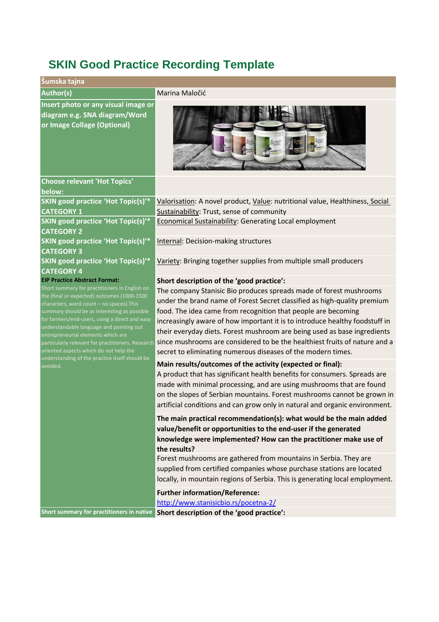## **SKIN Good Practice Recording Template**

| Šumska tajna                                                                                                                                                                                                                                                                                                                                                                                                                 |                                                                                                                                                                                                                                                                                                                                                                                                                                                                                                                          |
|------------------------------------------------------------------------------------------------------------------------------------------------------------------------------------------------------------------------------------------------------------------------------------------------------------------------------------------------------------------------------------------------------------------------------|--------------------------------------------------------------------------------------------------------------------------------------------------------------------------------------------------------------------------------------------------------------------------------------------------------------------------------------------------------------------------------------------------------------------------------------------------------------------------------------------------------------------------|
| <b>Author(s)</b>                                                                                                                                                                                                                                                                                                                                                                                                             | Marina Maločić                                                                                                                                                                                                                                                                                                                                                                                                                                                                                                           |
| Insert photo or any visual image or<br>diagram e.g. SNA diagram/Word<br>or Image Collage (Optional)                                                                                                                                                                                                                                                                                                                          |                                                                                                                                                                                                                                                                                                                                                                                                                                                                                                                          |
| <b>Choose relevant 'Hot Topics'</b><br>below:                                                                                                                                                                                                                                                                                                                                                                                |                                                                                                                                                                                                                                                                                                                                                                                                                                                                                                                          |
| <b>SKIN good practice 'Hot Topic(s)'*</b>                                                                                                                                                                                                                                                                                                                                                                                    | Valorisation: A novel product, Value: nutritional value, Healthiness, Social                                                                                                                                                                                                                                                                                                                                                                                                                                             |
| <b>CATEGORY 1</b>                                                                                                                                                                                                                                                                                                                                                                                                            | Sustainability: Trust, sense of community                                                                                                                                                                                                                                                                                                                                                                                                                                                                                |
| <b>SKIN good practice 'Hot Topic(s)'*</b>                                                                                                                                                                                                                                                                                                                                                                                    | <b>Economical Sustainability: Generating Local employment</b>                                                                                                                                                                                                                                                                                                                                                                                                                                                            |
| <b>CATEGORY 2</b>                                                                                                                                                                                                                                                                                                                                                                                                            |                                                                                                                                                                                                                                                                                                                                                                                                                                                                                                                          |
| <b>SKIN good practice 'Hot Topic(s)'*</b><br><b>CATEGORY 3</b>                                                                                                                                                                                                                                                                                                                                                               | <b>Internal: Decision-making structures</b>                                                                                                                                                                                                                                                                                                                                                                                                                                                                              |
| <b>SKIN good practice 'Hot Topic(s)'*</b>                                                                                                                                                                                                                                                                                                                                                                                    | Variety: Bringing together supplies from multiple small producers                                                                                                                                                                                                                                                                                                                                                                                                                                                        |
| <b>CATEGORY 4</b>                                                                                                                                                                                                                                                                                                                                                                                                            |                                                                                                                                                                                                                                                                                                                                                                                                                                                                                                                          |
| <b>EIP Practice Abstract Format:</b>                                                                                                                                                                                                                                                                                                                                                                                         | Short description of the 'good practice':                                                                                                                                                                                                                                                                                                                                                                                                                                                                                |
| Short summary for practitioners in English on<br>the (final or expected) outcomes (1000-1500<br>characters, word count - no spaces). This<br>summary should be as interesting as possible<br>for farmers/end-users, using a direct and easy<br>understandable language and pointing out<br>entrepreneurial elements which are<br>particularly relevant for practitioners. Research<br>oriented aspects which do not help the | The company Stanisic Bio produces spreads made of forest mushrooms<br>under the brand name of Forest Secret classified as high-quality premium<br>food. The idea came from recognition that people are becoming<br>increasingly aware of how important it is to introduce healthy foodstuff in<br>their everyday diets. Forest mushroom are being used as base ingredients<br>since mushrooms are considered to be the healthiest fruits of nature and a<br>secret to eliminating numerous diseases of the modern times. |
| understanding of the practice itself should be<br>avoided.                                                                                                                                                                                                                                                                                                                                                                   | Main results/outcomes of the activity (expected or final):                                                                                                                                                                                                                                                                                                                                                                                                                                                               |
|                                                                                                                                                                                                                                                                                                                                                                                                                              | A product that has significant health benefits for consumers. Spreads are<br>made with minimal processing, and are using mushrooms that are found<br>on the slopes of Serbian mountains. Forest mushrooms cannot be grown in<br>artificial conditions and can grow only in natural and organic environment.                                                                                                                                                                                                              |
|                                                                                                                                                                                                                                                                                                                                                                                                                              | The main practical recommendation(s): what would be the main added                                                                                                                                                                                                                                                                                                                                                                                                                                                       |
|                                                                                                                                                                                                                                                                                                                                                                                                                              | value/benefit or opportunities to the end-user if the generated<br>knowledge were implemented? How can the practitioner make use of<br>the results?                                                                                                                                                                                                                                                                                                                                                                      |
|                                                                                                                                                                                                                                                                                                                                                                                                                              | Forest mushrooms are gathered from mountains in Serbia. They are<br>supplied from certified companies whose purchase stations are located<br>locally, in mountain regions of Serbia. This is generating local employment.                                                                                                                                                                                                                                                                                                |
|                                                                                                                                                                                                                                                                                                                                                                                                                              | <b>Further information/Reference:</b>                                                                                                                                                                                                                                                                                                                                                                                                                                                                                    |
|                                                                                                                                                                                                                                                                                                                                                                                                                              | http://www.stanisicbio.rs/pocetna-2/                                                                                                                                                                                                                                                                                                                                                                                                                                                                                     |
| Short summary for practitioners in native                                                                                                                                                                                                                                                                                                                                                                                    | Short description of the 'good practice':                                                                                                                                                                                                                                                                                                                                                                                                                                                                                |